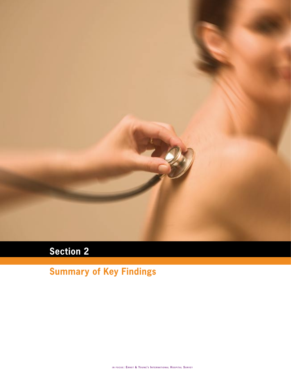

# **Section 2**

# **Summary of Key Findings**

**i n f o c u s : E r n s t & Yo u n g's I n t e r n at i o n a l H o s p i ta l S u r v ey**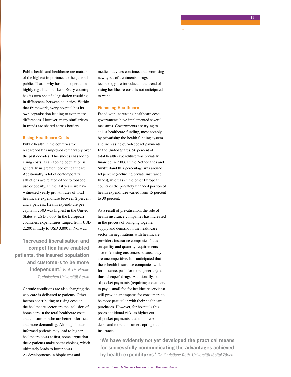Public health and healthcare are matters of the highest importance to the general public. That is why hospitals operate in highly regulated markets. Every country has its own specific legislation resulting in differences between countries. Within that framework, every hospital has its own organisation leading to even more differences. However, many similarities in trends are shared across borders.

### **Rising Healthcare Costs**

Public health in the countries we researched has improved remarkably over the past decades. This success has led to rising costs, as an ageing population is generally in greater need of healthcare. Additionally, a lot of contemporary afflictions are related either to tobacco use or obesity. In the last years we have witnessed yearly growth rates of total healthcare expenditure between 2 percent and 8 percent. Health expenditure per capita in 2003 was highest in the United States at USD 5,600. In the European countries, expenditures ranged from USD 2,200 in Italy to USD 3,800 in Norway.

**'Increased liberalisation and competition have enabled patients, the insured population and customers to be more independent.'** *Prof. Dr. Henke Technischen Universität Berlin*

> Chronic conditions are also changing the way care is delivered to patients. Other factors contributing to rising costs in the healthcare sector are the inclusion of home care in the total healthcare costs and consumers who are better informed and more demanding. Although betterinformed patients may lead to higher healthcare costs at first, some argue that these patients make better choices, which ultimately leads to lower costs. As developments in biopharma and

medical devices continue, and promising new types of treatments, drugs and technology are introduced, the trend of rising healthcare costs is not anticipated to wane.

**>**

#### **Financing Healthcare**

Faced with increasing healthcare costs, governments have implemented several measures. Governments are trying to adjust healthcare funding, most notably by privatising the health funding system and increasing out-of-pocket payments. In the United States, 56 percent of total health expenditure was privately financed in 2003. In the Netherlands and Switzerland this percentage was around 40 percent (including private insurance funds), whereas in the other European countries the privately financed portion of health expenditure varied from 15 percent to 30 percent.

As a result of privatisation, the role of health insurance companies has increased in the process of bringing together supply and demand in the healthcare sector. In negotiations with healthcare providers insurance companies focus on quality and quantity requirements – or risk losing customers because they are uncompetitive. It is anticipated that these health insurance companies will, for instance, push for more generic (and thus, cheaper) drugs. Additionally, outof-pocket payments (requiring consumers to pay a small fee for healthcare services) will provide an impetus for consumers to be more particular with their healthcare purchases. However, for hospitals this poses additional risk, as higher outof-pocket payments lead to more bad debts and more consumers opting out of insurance.

**'We have evidently not yet developed the practical means for successfully communicating the advantages achieved by health expenditures.'** *Dr. Christiane Roth, UniversitätsSpital Zürich*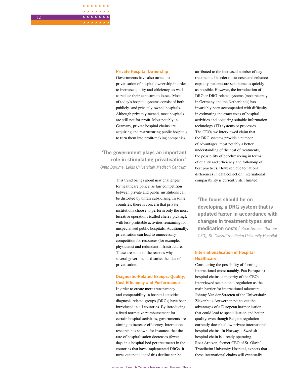### **Private Hospital Ownership**

**> > > > > > > > > > > > > > > > > > > > >**

> Governments have also turned to privatisation of hospital ownership in order to increase quality and efficiency, as well as reduce their exposure to losses. Most of today's hospital systems consist of both publicly- and privately-owned hospitals. Although privately-owned, most hospitals are still not-for-profit. Most notably in Germany, private hospital chains are acquiring and restructuring public hospitals to turn them into profit-making companies.

**'The government plays an important role in stimulating privatisation.'** *Onno Buruma, Leids Universitair Medisch Centrum*

> This trend brings about new challenges for healthcare policy, as fair competition between private and public institutions can be distorted by unfair subsidising. In some countries, there is concern that private institutions choose to perform only the most lucrative operations (called cherry picking), with less-profitable activities remaining for unspecialised public hospitals. Additionally, privatisation can lead to unnecessary competition for resources (for example, physicians) and redundant infrastructure. These are some of the reasons why several governments dismiss the idea of privatisation.

## **Diagnostic-Related Groups: Quality, Cost Efficiency and Performance**

In order to create more transparency and comparability in hospital activities, diagnosis-related groups (DRGs) have been introduced in all countries. By introducing a fixed normative reimbursement for certain hospital activities, governments are aiming to increase efficiency. International research has shown, for instance, that the rate of hospitalisation decreases (fewer days in a hospital bed per treatment) in the countries that have implemented DRGs. It turns out that a lot of this decline can be

attributed to the increased number of day treatments. In order to cut costs and enhance capacity, patients are sent home as quickly as possible. However, the introduction of DRG or DRG-related systems (most recently in Germany and the Netherlands) has invariably been accompanied with difficulty in estimating the exact costs of hospital activities and acquiring suitable information technology (IT) systems or processes. The CEOs we interviewed claim that the DRG systems provide a number of advantages, most notably a better understanding of the cost of treatments, the possibility of benchmarking in terms of quality and efficiency and follow-up of best practices. However, due to national differences in data collection, international comparability is currently still limited.

**'The focus should be on developing a DRG system that is updated faster in accordance with changes in treatment types and medication costs.'** *Roar Arntzen (former CEO), St. Olavs/Trondheim University Hospital*

## **Internationalisation of Hospital Healthcare**

Considering the possibility of forming international (most notably, Pan European) hospital chains, a majority of the CEOs interviewed see national regulation as the main barrier for international takeovers. Johnny Van der Straeten of the Universitair Ziekenhuis Antwerpen points out the advantages of a European harmonisation that could lead to specialisation and better quality, even though Belgian regulation currently doesn't allow private international hospital chains. In Norway, a Swedish hospital chain is already operating. Roar Arntzen, former CEO of St. Olavs/ Trondheim University Hospital, expects that these international chains will eventually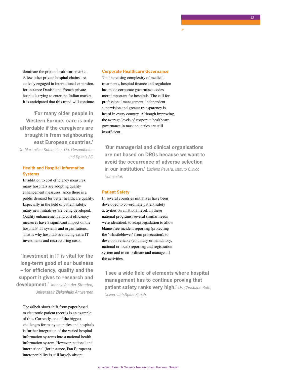dominate the private healthcare market. A few other private hospital chains are actively engaged in international expansion, for instance Danish and French private hospitals trying to enter the Italian market. It is anticipated that this trend will continue.

**'For many older people in Western Europe, care is only affordable if the caregivers are brought in from neighbouring east European countries.'** *Dr. Maximilian Koblmüller, Oö. Gesundheitsund Spitals-AG*

## **Health and Hospital Information Systems**

In addition to cost efficiency measures, many hospitals are adopting quality enhancement measures, since there is a public demand for better healthcare quality. Especially in the field of patient safety, many new initiatives are being developed. Quality enhancement and cost efficiency measures have a significant impact on the hospitals' IT systems and organisations. That is why hospitals are facing extra IT investments and restructuring costs.

**'Investment in IT is vital for the long-term good of our business – for efficiency, quality and the support it gives to research and development.'** *Johnny Van der Straeten, Universitair Ziekenhuis Antwerpen*

The (albeit slow) shift from paper-based to electronic patient records is an example of this. Currently, one of the biggest challenges for many countries and hospitals is further integration of the varied hospital information systems into a national health information system. However, national and international (for instance, Pan European) interoperability is still largely absent.

#### **Corporate Healthcare Governance**

The increasing complexity of medical treatments, hospital finance and regulation has made corporate governance codes more important for hospitals. The call for professional management, independent supervision and greater transparency is heard in every country. Although improving, the average levels of corporate healthcare governance in most countries are still insufficient.

**'Our managerial and clinical organisations are not based on DRGs because we want to avoid the occurrence of adverse selection in our institution.'** *Luciano Ravera, Istituto Clinico Humanitas*

**>**

## **Patient Safety**

In several countries initiatives have been developed to co-ordinate patient safety activities on a national level. In these national programs, several similar needs were identified: to adapt legislation to allow blame-free incident reporting (protecting the 'whistleblower' from prosecution); to develop a reliable (voluntary or mandatory, national or local) reporting and registration system and to co-ordinate and manage all the activities.

**'I see a wide field of elements where hospital management has to continue proving that patient safety ranks very high.'** *Dr. Christiane Roth, UniversitätsSpital Zürich*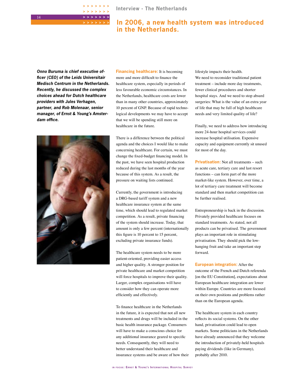**Interview - The Netherlands**

## **In 2006, a new health system was introduced in the Netherlands.**

*Onno Buruma is chief executive officer (CEO) of the Leids Universitair Medisch Centrum in the Netherlands. Recently, he discussed the complex choices ahead for Dutch healthcare providers with Jules Verhagen, partner, and Rob Molenaar, senior manager, of Ernst & Young's Amsterdam office.*

**> > > > > > > > > > > > > > > > > > > > >**



**Financing healthcare:** It is becoming more and more difficult to finance the healthcare system, especially in periods of less favourable economic circumstances. In the Netherlands, healthcare costs are lower than in many other countries, approximately 10 percent of GNP. Because of rapid technological developments we may have to accept that we will be spending still more on healthcare in the future.

There is a difference between the political agenda and the choices I would like to make concerning healthcare. For certain, we must change the fixed-budget financing model. In the past, we have seen hospital production reduced during the last months of the year because of this system. As a result, the pressure on waiting lists continued.

Currently, the government is introducing a DRG-based tariff system and a new healthcare insurance system at the same time, which should lead to regulated market competition. As a result, private financing of the system should increase. Today, that amount is only a few percent (internationally this figure is 10 percent to 15 percent, excluding private insurance funds).

The healthcare system needs to be more patient-oriented, providing easier access and higher quality. A stronger position for private healthcare and market competition will force hospitals to improve their quality. Larger, complex organisations will have to consider how they can operate more efficiently and effectively.

To finance healthcare in the Netherlands in the future, it is expected that not all new treatments and drugs will be included in the basic health insurance package. Consumers will have to make a conscious choice for any additional insurance geared to specific needs. Consequently, they will need to better understand their healthcare and insurance systems and be aware of how their lifestyle impacts their health. We need to reconsider traditional patient treatment – include more day treatments, fewer clinical procedures and shorter hospital stays. And we need to stop absurd surgeries: What is the value of an extra year of life that may be full of high healthcare needs and very limited quality of life?

Finally, we need to address how introducing more 24-hour hospital services could increase hospital utilisation. Expensive capacity and equipment currently sit unused for most of the day.

**Privatisation:** Not all treatments – such as acute care, tertiary care and last resort functions – can form part of the more market-like system. However, over time, a lot of tertiary care treatment will become standard and then market competition can be further realised.

Entrepreneurship is back in the discussion. Privately provided healthcare focuses on standard treatments. As stated, not all products can be privatised. The government plays an important role in stimulating privatisation. They should pick the lowhanging fruit and take an important step forward.

**European integration:** After the outcome of the French and Dutch referenda [on the EU Constitution], expectations about European healthcare integration are lower within Europe. Countries are more focused on their own positions and problems rather than on the European agenda.

The healthcare system in each country reflects its social systems. On the other hand, privatisation could lead to open markets. Some politicians in the Netherlands have already announced that they welcome the introduction of privately-held hospitals paying dividends (like in Germany), probably after 2010.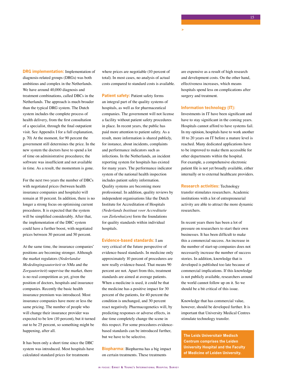**DRG implementation:** Implementation of diagnosis-related groups (DRGs) was both ambitious and complex in the Netherlands. We have around 40,000 diagnosis and treatment combinations, called DBCs in the Netherlands. The approach is much broader than the typical DRG system. The Dutch system includes the complete process of health delivery, from the first consultation of a specialist, through the final outpatient visit. See Appendix I for a full explanation, p. 70) At the moment, for 90 percent the government still determines the price. In the new system the doctors have to spend a lot of time on administrative procedures; the software was insufficient and not available in time. As a result, the momentum is gone.

For the next two years the number of DBCs with negotiated prices (between health insurance companies and hospitals) will remain at 10 percent. In addition, there is no longer a strong focus on optimising current procedures. It is expected that the system will be simplified considerably. After that, the implementation of the DBC system could have a further boost, with negotiated prices between 30 percent and 50 percent.

At the same time, the insurance companies' positions are becoming stronger. Although the market regulators (*Nederlandse Mededingingsautoriteit* or *NMa* and the *Zorgautoriteit*) supervise the market, there is no real competition as yet, given the position of doctors, hospitals and insurance companies. Recently the basic health insurance premium was introduced. Most insurance companies have more or less the same pricing. The number of people who will change their insurance provider was expected to be low (10 percent), but it turned out to be 25 percent, so something might be happening, after all.

It has been only a short time since the DBC system was introduced. Most hospitals have calculated standard prices for treatments

where prices are negotiable (10 percent of total). In most cases, no analysis of actual costs compared to standard costs is available.

**Patient safety:** Patient safety forms an integral part of the quality systems of hospitals, as well as for pharmaceutical companies. The government will not license a facility without patient safety procedures in place. In recent years, the public has paid more attention to patient safety. As a result, more information is shared publicly, for instance, about incidents, complaints and performance indicators such as infections. In the Netherlands, an incident reporting system for hospitals has existed for many years. The performance indicator system of the national health inspection includes patient safety information. Quality systems are becoming more professional. In addition, quality reviews by independent organisations like the Dutch Institute for Accreditation of Hospitals *(Nederlands Instituut voor Accreditatie van Ziekenhuizen)* form the foundations for quality standards within individual hospitals.

#### **Evidence-based standards:** I am

very critical of the future perspective of evidence-based standards. In medicine only approximately 10 percent of procedures are now really evidence-based. That means 90 percent are not. Apart from this, treatment standards are aimed at average patients. When a medicine is used, it could be that the medicine has a positive impact for 30 percent of the patients, for 40 percent the condition is unchanged, and 30 percent react negatively. Pharmacogenetics will, by predicting responses or adverse effects, in due time completely change the scene in this respect. For some procedures evidencebased standards can be introduced further, but we have to be selective.

**Biopharma:** Biopharma has a big impact on certain treatments. These treatments

are expensive as a result of high research and development costs. On the other hand, effectiveness increases, which means hospitals spend less on complications after surgery and treatment.

#### **Information technology (IT):**

**>**

Investments in IT have been significant and have to stay significant in the coming years. Hospitals cannot afford to have systems fail. In my opinion, hospitals have to work another 10 to 20 years on IT before a mature level is reached. Many dedicated applications have to be improved to make them accessible for other departments within the hospital. For example, a comprehensive electronic patient file is not yet broadly available, either internally or to external healthcare providers.

**Research activities:** Technology transfer stimulates researchers. Academic institutions with a lot of entrepreneurial activity are able to attract the more dynamic researchers.

In recent years there has been a lot of pressure on researchers to start their own businesses. It has been difficult to make this a commercial success. An increase in the number of start-up companies does not necessarily increase the number of success stories. In addition, knowledge that is developed is published too late because of commercial implications. If this knowledge is not publicly available, researchers around the world cannot follow up on it. So we should be a bit critical of this issue.

Knowledge that has commercial value, however, should be developed further. It is important that University Medical Centres stimulate technology transfer.

**The Leids Universitair Medisch Centrum comprises the Leiden University Hospital and the Faculty of Medicine of Leiden University.**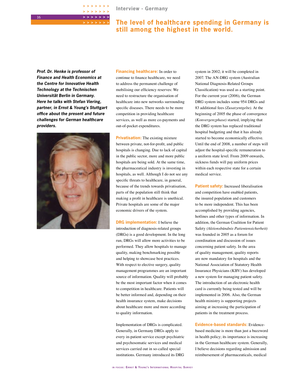## **The level of healthcare spending in Germany is still among the highest in the world.**

*Prof. Dr. Henke is professor of Finance and Health Economics at the Centre for Innovative Health Technology at the Technischen Universität Berlin in Germany. Here he talks with Stefan Viering, partner, in Ernst & Young's Stuttgart office about the present and future challenges for German healthcare providers.*

**> > > > > > > > > > > > > > > > > > > > >**



**Financing healthcare:** In order to continue to finance healthcare, we need to address the permanent challenge of mobilising our efficiency reserves: We need to restructure the organisation of healthcare into new networks surrounding specific diseases. There needs to be more competition in providing healthcare services, as well as more co-payments and out-of-pocket expenditures.

**Privatisation:** The existing mixture between private, not-for-profit, and public hospitals is changing. Due to lack of capital in the public sector, more and more public hospitals are being sold. At the same time, the pharmaceutical industry is investing in hospitals, as well. Although I do not see any specific threats to healthcare, in general, because of the trends towards privatisation, parts of the population still think that making a profit in healthcare is unethical. Private hospitals are some of the major economic drivers of the system.

**DRG implementation:** I believe the introduction of diagnosis-related groups (DRGs) is a good development. In the long run, DRGs will allow more activities to be performed. They allow hospitals to manage quality, making benchmarking possible and helping to showcase best practices. With respect to elective surgery, quality management programmes are an important source of information. Quality will probably be the most important factor when it comes to competition in healthcare. Patients will be better informed and, depending on their health insurance system, make decisions about healthcare more and more according to quality information.

Implementation of DRGs is complicated. Generally, in Germany DRGs apply to every in-patient service except psychiatric and psychosomatic services and medical services carried out in so-called special institutions. Germany introduced its DRG

system in 2002; it will be completed in 2007. The AN-DRG system (Australian National Diagnosis-Related Groups Classification) was used as a starting point. For the current year (2006), the German DRG system includes some 954 DRGs and 83 additional fees *(Zusatzentgelte)*. At the beginning of 2005 the phase of convergence *(Konvergenzphase)* started, implying that the DRG system has replaced traditional hospital budgeting and that it has already started to become economically effective. Until the end of 2008, a number of steps will adjust the hospital-specific remuneration to a uniform state level. From 2009 onwards, sickness funds will pay uniform prices within each respective state for a certain medical service.

**Patient safety:** Increased liberalisation and competition have enabled patients, the insured population and customers to be more independent. This has been accomplished by providing agencies, hotlines and other types of information. In addition, the German Coalition for Patient Safety *(Aktionsbündnis Patientensicherheit)* was founded in 2005 as a forum for coordination and discussion of issues concerning patient safety. In the area of quality management, quality reports are now mandatory for hospitals and the National Association of Statutory Health Insurance Physicians (KBV) has developed a new system for managing patient safety. The introduction of an electronic health card is currently being tested and will be implemented in 2006. Also, the German health ministry is supporting projects aiming at increasing the participation of patients in the treatment process.

**Evidence-based standards:** Evidencebased medicine is more than just a buzzword in health policy; its importance is increasing in the German healthcare system. Generally, I believe decisions regarding admission and reimbursement of pharmaceuticals, medical